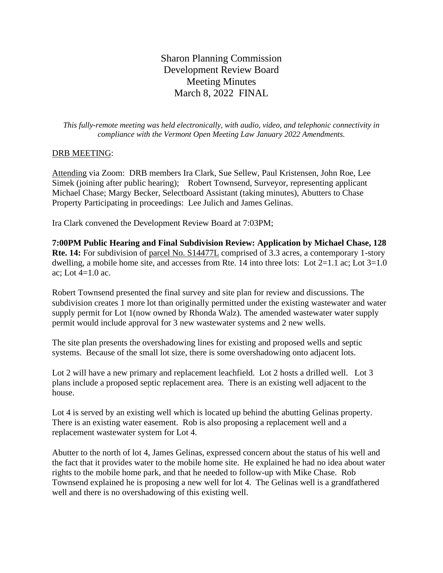Sharon Planning Commission Development Review Board Meeting Minutes March 8, 2022 FINAL

*This fully-remote meeting was held electronically, with audio, video, and telephonic connectivity in compliance with the Vermont Open Meeting Law January 2022 Amendments.*

## DRB MEETING:

Attending via Zoom: DRB members Ira Clark, Sue Sellew, Paul Kristensen, John Roe, Lee Simek (joining after public hearing); Robert Townsend, Surveyor, representing applicant Michael Chase; Margy Becker, Selectboard Assistant (taking minutes), Abutters to Chase Property Participating in proceedings: Lee Julich and James Gelinas.

Ira Clark convened the Development Review Board at 7:03PM;

**7:00PM Public Hearing and Final Subdivision Review: Application by Michael Chase, 128 Rte. 14:** For subdivision of parcel No. S14477L comprised of 3.3 acres, a contemporary 1-story dwelling, a mobile home site, and accesses from Rte. 14 into three lots: Lot  $2=1.1$  ac; Lot  $3=1.0$ ac; Lot  $4=1.0$  ac.

Robert Townsend presented the final survey and site plan for review and discussions. The subdivision creates 1 more lot than originally permitted under the existing wastewater and water supply permit for Lot 1(now owned by Rhonda Walz). The amended wastewater water supply permit would include approval for 3 new wastewater systems and 2 new wells.

The site plan presents the overshadowing lines for existing and proposed wells and septic systems. Because of the small lot size, there is some overshadowing onto adjacent lots.

Lot 2 will have a new primary and replacement leachfield. Lot 2 hosts a drilled well. Lot 3 plans include a proposed septic replacement area. There is an existing well adjacent to the house.

Lot 4 is served by an existing well which is located up behind the abutting Gelinas property. There is an existing water easement. Rob is also proposing a replacement well and a replacement wastewater system for Lot 4.

Abutter to the north of lot 4, James Gelinas, expressed concern about the status of his well and the fact that it provides water to the mobile home site. He explained he had no idea about water rights to the mobile home park, and that he needed to follow-up with Mike Chase. Rob Townsend explained he is proposing a new well for lot 4. The Gelinas well is a grandfathered well and there is no overshadowing of this existing well.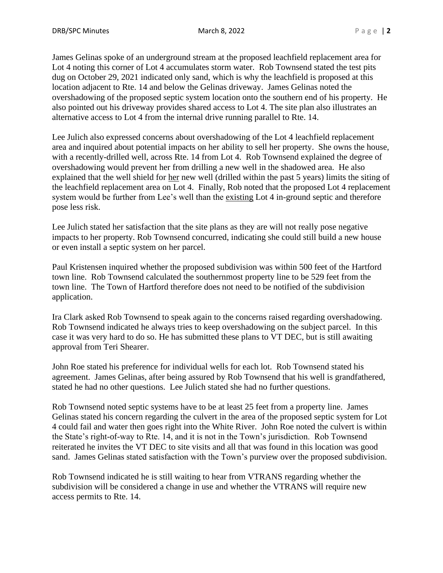James Gelinas spoke of an underground stream at the proposed leachfield replacement area for Lot 4 noting this corner of Lot 4 accumulates storm water. Rob Townsend stated the test pits dug on October 29, 2021 indicated only sand, which is why the leachfield is proposed at this location adjacent to Rte. 14 and below the Gelinas driveway. James Gelinas noted the overshadowing of the proposed septic system location onto the southern end of his property. He also pointed out his driveway provides shared access to Lot 4. The site plan also illustrates an alternative access to Lot 4 from the internal drive running parallel to Rte. 14.

Lee Julich also expressed concerns about overshadowing of the Lot 4 leachfield replacement area and inquired about potential impacts on her ability to sell her property. She owns the house, with a recently-drilled well, across Rte. 14 from Lot 4. Rob Townsend explained the degree of overshadowing would prevent her from drilling a new well in the shadowed area. He also explained that the well shield for her new well (drilled within the past 5 years) limits the siting of the leachfield replacement area on Lot 4. Finally, Rob noted that the proposed Lot 4 replacement system would be further from Lee's well than the existing Lot 4 in-ground septic and therefore pose less risk.

Lee Julich stated her satisfaction that the site plans as they are will not really pose negative impacts to her property. Rob Townsend concurred, indicating she could still build a new house or even install a septic system on her parcel.

Paul Kristensen inquired whether the proposed subdivision was within 500 feet of the Hartford town line. Rob Townsend calculated the southernmost property line to be 529 feet from the town line. The Town of Hartford therefore does not need to be notified of the subdivision application.

Ira Clark asked Rob Townsend to speak again to the concerns raised regarding overshadowing. Rob Townsend indicated he always tries to keep overshadowing on the subject parcel. In this case it was very hard to do so. He has submitted these plans to VT DEC, but is still awaiting approval from Teri Shearer.

John Roe stated his preference for individual wells for each lot. Rob Townsend stated his agreement. James Gelinas, after being assured by Rob Townsend that his well is grandfathered, stated he had no other questions. Lee Julich stated she had no further questions.

Rob Townsend noted septic systems have to be at least 25 feet from a property line. James Gelinas stated his concern regarding the culvert in the area of the proposed septic system for Lot 4 could fail and water then goes right into the White River. John Roe noted the culvert is within the State's right-of-way to Rte. 14, and it is not in the Town's jurisdiction. Rob Townsend reiterated he invites the VT DEC to site visits and all that was found in this location was good sand. James Gelinas stated satisfaction with the Town's purview over the proposed subdivision.

Rob Townsend indicated he is still waiting to hear from VTRANS regarding whether the subdivision will be considered a change in use and whether the VTRANS will require new access permits to Rte. 14.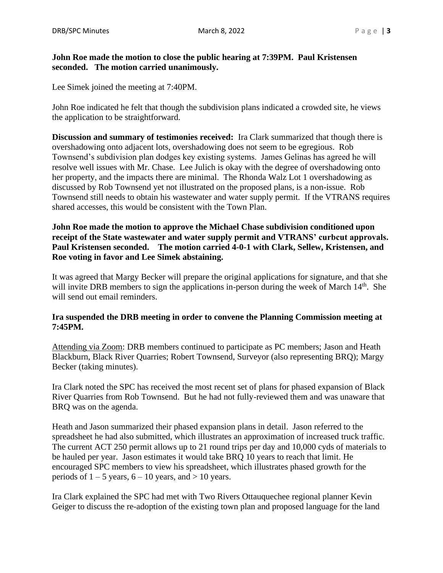## **John Roe made the motion to close the public hearing at 7:39PM. Paul Kristensen seconded. The motion carried unanimously.**

Lee Simek joined the meeting at 7:40PM.

John Roe indicated he felt that though the subdivision plans indicated a crowded site, he views the application to be straightforward.

**Discussion and summary of testimonies received:** Ira Clark summarized that though there is overshadowing onto adjacent lots, overshadowing does not seem to be egregious. Rob Townsend's subdivision plan dodges key existing systems. James Gelinas has agreed he will resolve well issues with Mr. Chase. Lee Julich is okay with the degree of overshadowing onto her property, and the impacts there are minimal. The Rhonda Walz Lot 1 overshadowing as discussed by Rob Townsend yet not illustrated on the proposed plans, is a non-issue. Rob Townsend still needs to obtain his wastewater and water supply permit. If the VTRANS requires shared accesses, this would be consistent with the Town Plan.

**John Roe made the motion to approve the Michael Chase subdivision conditioned upon receipt of the State wastewater and water supply permit and VTRANS' curbcut approvals. Paul Kristensen seconded. The motion carried 4-0-1 with Clark, Sellew, Kristensen, and Roe voting in favor and Lee Simek abstaining.**

It was agreed that Margy Becker will prepare the original applications for signature, and that she will invite DRB members to sign the applications in-person during the week of March 14<sup>th</sup>. She will send out email reminders.

# **Ira suspended the DRB meeting in order to convene the Planning Commission meeting at 7:45PM.**

Attending via Zoom: DRB members continued to participate as PC members; Jason and Heath Blackburn, Black River Quarries; Robert Townsend, Surveyor (also representing BRQ); Margy Becker (taking minutes).

Ira Clark noted the SPC has received the most recent set of plans for phased expansion of Black River Quarries from Rob Townsend. But he had not fully-reviewed them and was unaware that BRQ was on the agenda.

Heath and Jason summarized their phased expansion plans in detail. Jason referred to the spreadsheet he had also submitted, which illustrates an approximation of increased truck traffic. The current ACT 250 permit allows up to 21 round trips per day and 10,000 cyds of materials to be hauled per year. Jason estimates it would take BRQ 10 years to reach that limit. He encouraged SPC members to view his spreadsheet, which illustrates phased growth for the periods of  $1 - 5$  years,  $6 - 10$  years, and  $> 10$  years.

Ira Clark explained the SPC had met with Two Rivers Ottauquechee regional planner Kevin Geiger to discuss the re-adoption of the existing town plan and proposed language for the land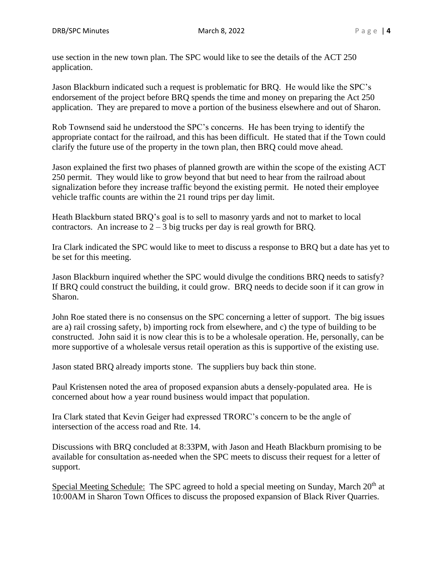use section in the new town plan. The SPC would like to see the details of the ACT 250 application.

Jason Blackburn indicated such a request is problematic for BRQ. He would like the SPC's endorsement of the project before BRQ spends the time and money on preparing the Act 250 application. They are prepared to move a portion of the business elsewhere and out of Sharon.

Rob Townsend said he understood the SPC's concerns. He has been trying to identify the appropriate contact for the railroad, and this has been difficult. He stated that if the Town could clarify the future use of the property in the town plan, then BRQ could move ahead.

Jason explained the first two phases of planned growth are within the scope of the existing ACT 250 permit. They would like to grow beyond that but need to hear from the railroad about signalization before they increase traffic beyond the existing permit. He noted their employee vehicle traffic counts are within the 21 round trips per day limit.

Heath Blackburn stated BRQ's goal is to sell to masonry yards and not to market to local contractors. An increase to  $2 - 3$  big trucks per day is real growth for BRQ.

Ira Clark indicated the SPC would like to meet to discuss a response to BRQ but a date has yet to be set for this meeting.

Jason Blackburn inquired whether the SPC would divulge the conditions BRQ needs to satisfy? If BRQ could construct the building, it could grow. BRQ needs to decide soon if it can grow in Sharon.

John Roe stated there is no consensus on the SPC concerning a letter of support. The big issues are a) rail crossing safety, b) importing rock from elsewhere, and c) the type of building to be constructed. John said it is now clear this is to be a wholesale operation. He, personally, can be more supportive of a wholesale versus retail operation as this is supportive of the existing use.

Jason stated BRQ already imports stone. The suppliers buy back thin stone.

Paul Kristensen noted the area of proposed expansion abuts a densely-populated area. He is concerned about how a year round business would impact that population.

Ira Clark stated that Kevin Geiger had expressed TRORC's concern to be the angle of intersection of the access road and Rte. 14.

Discussions with BRQ concluded at 8:33PM, with Jason and Heath Blackburn promising to be available for consultation as-needed when the SPC meets to discuss their request for a letter of support.

Special Meeting Schedule: The SPC agreed to hold a special meeting on Sunday, March 20<sup>th</sup> at 10:00AM in Sharon Town Offices to discuss the proposed expansion of Black River Quarries.